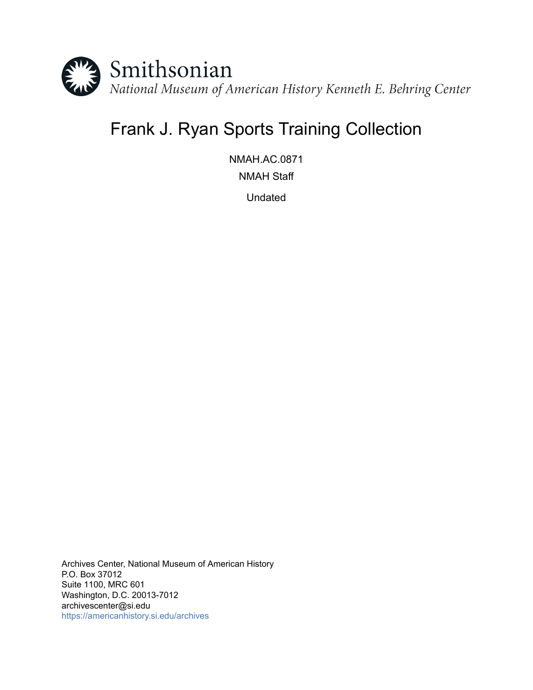

# Frank J. Ryan Sports Training Collection

NMAH.AC.0871 NMAH Staff

Undated

Archives Center, National Museum of American History P.O. Box 37012 Suite 1100, MRC 601 Washington, D.C. 20013-7012 archivescenter@si.edu <https://americanhistory.si.edu/archives>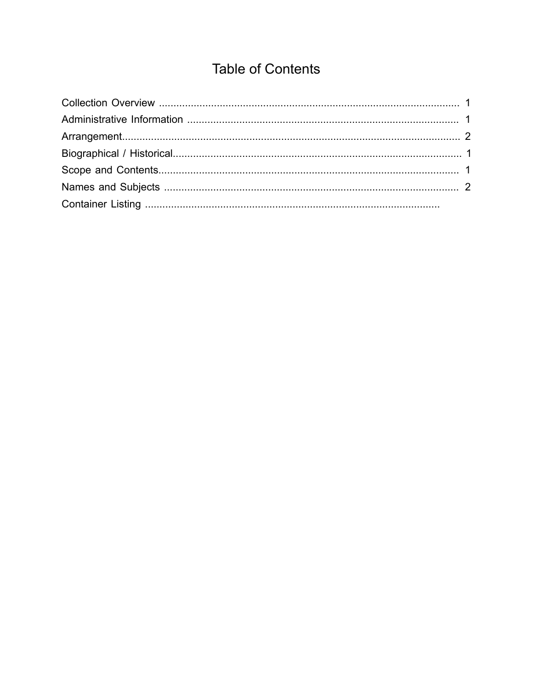## **Table of Contents**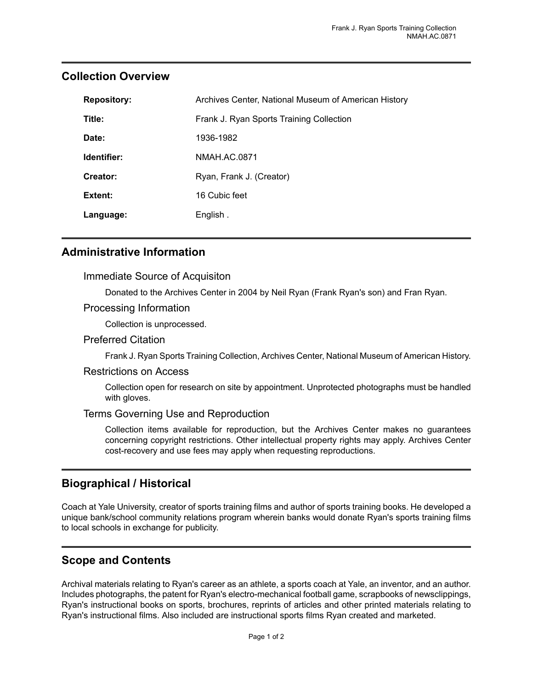| <b>Repository:</b> | Archives Center, National Museum of American History |
|--------------------|------------------------------------------------------|
| Title:             | Frank J. Ryan Sports Training Collection             |
| Date:              | 1936-1982                                            |
| Identifier:        | NMAH.AC.0871                                         |
| Creator:           | Ryan, Frank J. (Creator)                             |
| Extent:            | 16 Cubic feet                                        |
| Language:          | English.                                             |

## <span id="page-2-0"></span>**Collection Overview**

#### <span id="page-2-1"></span>**Administrative Information**

#### Immediate Source of Acquisiton

Donated to the Archives Center in 2004 by Neil Ryan (Frank Ryan's son) and Fran Ryan.

#### Processing Information

Collection is unprocessed.

#### Preferred Citation

Frank J. Ryan Sports Training Collection, Archives Center, National Museum of American History.

#### Restrictions on Access

Collection open for research on site by appointment. Unprotected photographs must be handled with gloves.

#### Terms Governing Use and Reproduction

Collection items available for reproduction, but the Archives Center makes no guarantees concerning copyright restrictions. Other intellectual property rights may apply. Archives Center cost-recovery and use fees may apply when requesting reproductions.

## <span id="page-2-2"></span>**Biographical / Historical**

Coach at Yale University, creator of sports training films and author of sports training books. He developed a unique bank/school community relations program wherein banks would donate Ryan's sports training films to local schools in exchange for publicity.

## <span id="page-2-3"></span>**Scope and Contents**

Archival materials relating to Ryan's career as an athlete, a sports coach at Yale, an inventor, and an author. Includes photographs, the patent for Ryan's electro-mechanical football game, scrapbooks of newsclippings, Ryan's instructional books on sports, brochures, reprints of articles and other printed materials relating to Ryan's instructional films. Also included are instructional sports films Ryan created and marketed.